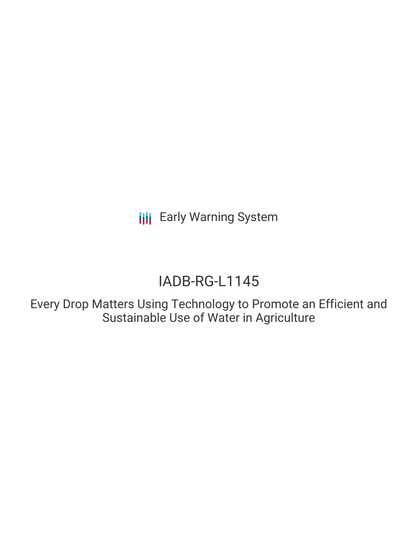**III** Early Warning System

# IADB-RG-L1145

Every Drop Matters Using Technology to Promote an Efficient and Sustainable Use of Water in Agriculture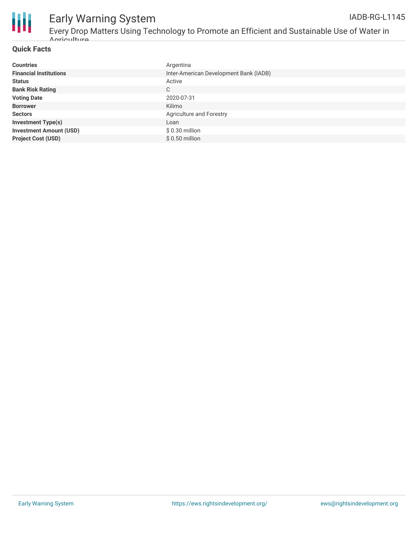

## Early Warning System

Every Drop Matters Using Technology to Promote an Efficient and Sustainable Use of Water in Agriculture

### **Quick Facts**

| <b>Countries</b>               | Argentina                              |
|--------------------------------|----------------------------------------|
| <b>Financial Institutions</b>  | Inter-American Development Bank (IADB) |
| <b>Status</b>                  | Active                                 |
| <b>Bank Risk Rating</b>        | C                                      |
| <b>Voting Date</b>             | 2020-07-31                             |
| <b>Borrower</b>                | Kilimo                                 |
| <b>Sectors</b>                 | Agriculture and Forestry               |
| <b>Investment Type(s)</b>      | Loan                                   |
| <b>Investment Amount (USD)</b> | $$0.30$ million                        |
| <b>Project Cost (USD)</b>      | $$0.50$ million                        |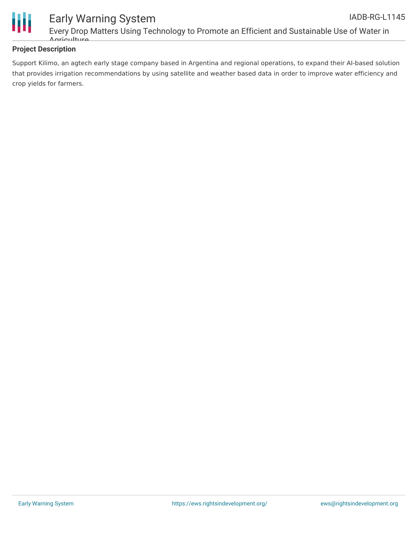

### **Project Description**

Support Kilimo, an agtech early stage company based in Argentina and regional operations, to expand their AI-based solution that provides irrigation recommendations by using satellite and weather based data in order to improve water efficiency and crop yields for farmers.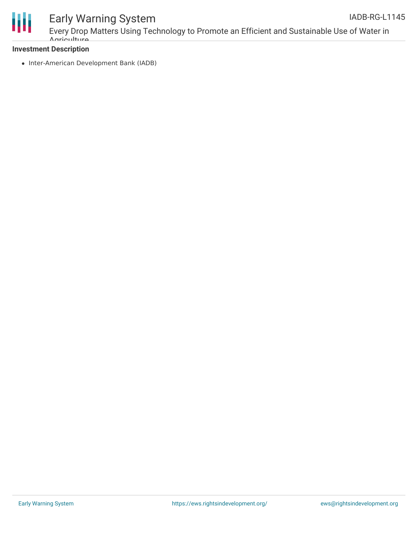

### Early Warning System

### **Investment Description**

Agriculture

• Inter-American Development Bank (IADB)